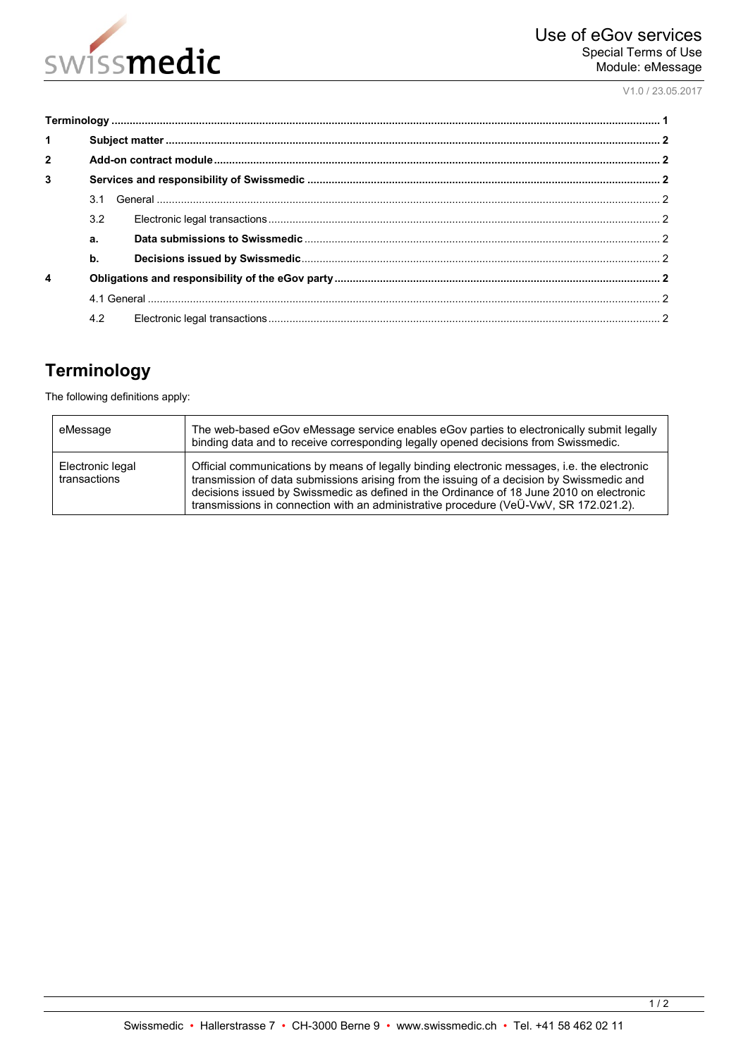

V1.0 / 23.05.2017

| $\mathbf{1}$   |               |  |  |
|----------------|---------------|--|--|
| $\overline{2}$ |               |  |  |
| 3              |               |  |  |
|                | 3.1           |  |  |
|                | 3.2           |  |  |
|                | a.            |  |  |
|                | $\mathbf b$ . |  |  |
| 4              |               |  |  |
|                |               |  |  |
|                | 4.2           |  |  |

# <span id="page-0-0"></span>**Terminology**

The following definitions apply:

| eMessage                         | The web-based eGov eMessage service enables eGov parties to electronically submit legally<br>binding data and to receive corresponding legally opened decisions from Swissmedic.                                                                                                                                                                                               |
|----------------------------------|--------------------------------------------------------------------------------------------------------------------------------------------------------------------------------------------------------------------------------------------------------------------------------------------------------------------------------------------------------------------------------|
| Electronic legal<br>transactions | Official communications by means of legally binding electronic messages, i.e. the electronic<br>transmission of data submissions arising from the issuing of a decision by Swissmedic and<br>decisions issued by Swissmedic as defined in the Ordinance of 18 June 2010 on electronic<br>transmissions in connection with an administrative procedure (VeÜ-VwV, SR 172.021.2). |